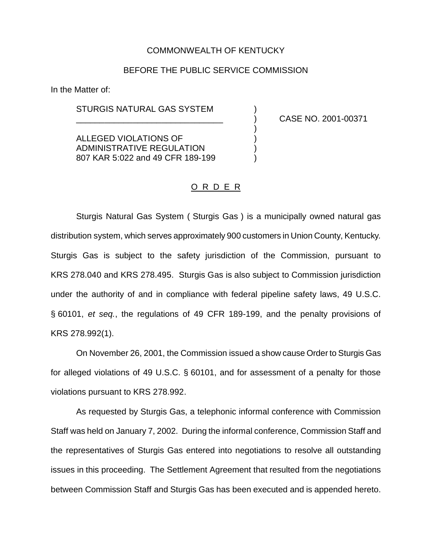#### COMMONWEALTH OF KENTUCKY

#### BEFORE THE PUBLIC SERVICE COMMISSION

)

In the Matter of:

STURGIS NATURAL GAS SYSTEM )

ALLEGED VIOLATIONS OF ) ADMINISTRATIVE REGULATION 807 KAR 5:022 and 49 CFR 189-199 \_\_\_\_\_\_\_\_\_\_\_\_\_\_\_\_\_\_\_\_\_\_\_\_\_\_\_\_\_\_\_ ) CASE NO. 2001-00371

### O R D E R

Sturgis Natural Gas System ( Sturgis Gas ) is a municipally owned natural gas distribution system, which serves approximately 900 customers in Union County, Kentucky*.* Sturgis Gas is subject to the safety jurisdiction of the Commission, pursuant to KRS 278.040 and KRS 278.495. Sturgis Gas is also subject to Commission jurisdiction under the authority of and in compliance with federal pipeline safety laws, 49 U.S.C. § 60101, *et seq.*, the regulations of 49 CFR 189-199, and the penalty provisions of KRS 278.992(1).

On November 26, 2001, the Commission issued a show cause Order to Sturgis Gas for alleged violations of 49 U.S.C. § 60101, and for assessment of a penalty for those violations pursuant to KRS 278.992.

As requested by Sturgis Gas, a telephonic informal conference with Commission Staff was held on January 7, 2002. During the informal conference, Commission Staff and the representatives of Sturgis Gas entered into negotiations to resolve all outstanding issues in this proceeding. The Settlement Agreement that resulted from the negotiations between Commission Staff and Sturgis Gas has been executed and is appended hereto.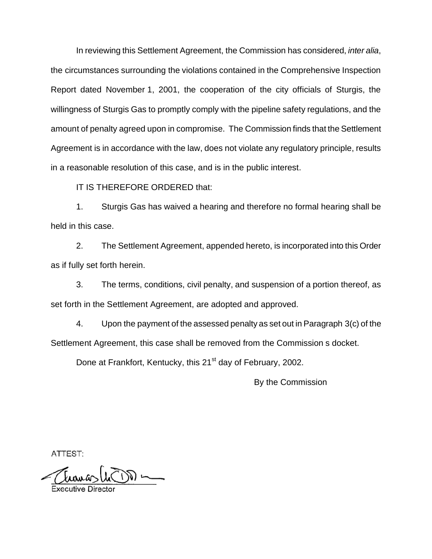In reviewing this Settlement Agreement, the Commission has considered, *inter alia*, the circumstances surrounding the violations contained in the Comprehensive Inspection Report dated November 1, 2001, the cooperation of the city officials of Sturgis, the willingness of Sturgis Gas to promptly comply with the pipeline safety regulations, and the amount of penalty agreed upon in compromise. The Commission finds that the Settlement Agreement is in accordance with the law, does not violate any regulatory principle, results in a reasonable resolution of this case, and is in the public interest.

IT IS THEREFORE ORDERED that:

1. Sturgis Gas has waived a hearing and therefore no formal hearing shall be held in this case.

2. The Settlement Agreement, appended hereto, is incorporated into this Order as if fully set forth herein.

3. The terms, conditions, civil penalty, and suspension of a portion thereof, as set forth in the Settlement Agreement, are adopted and approved.

4. Upon the payment of the assessed penalty as set out in Paragraph 3(c) of the Settlement Agreement, this case shall be removed from the Commission s docket.

Done at Frankfort, Kentucky, this 21<sup>st</sup> day of February, 2002.

By the Commission

ATTEST:

 $\sum_{i=1}^n$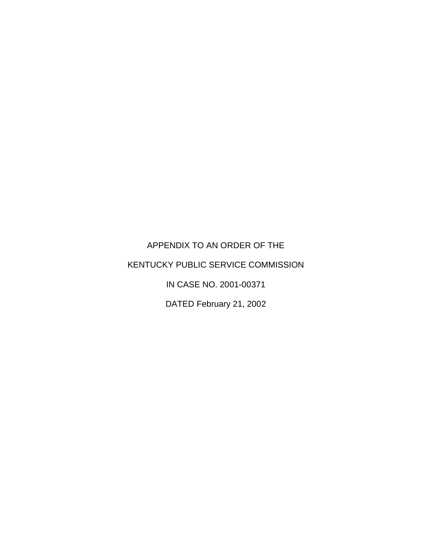APPENDIX TO AN ORDER OF THE

# KENTUCKY PUBLIC SERVICE COMMISSION

IN CASE NO. 2001-00371

DATED February 21, 2002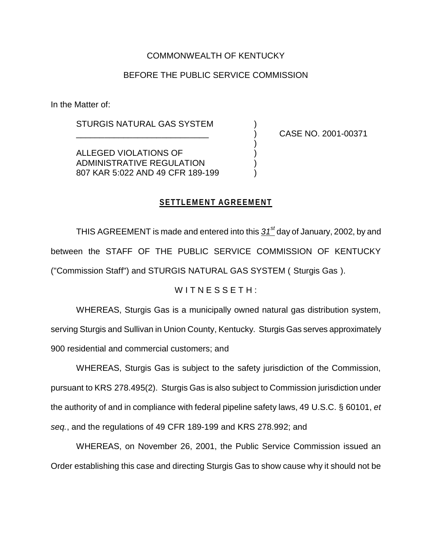# COMMONWEALTH OF KENTUCKY

# BEFORE THE PUBLIC SERVICE COMMISSION

In the Matter of:

STURGIS NATURAL GAS SYSTEM )

\_\_\_\_\_\_\_\_\_\_\_\_\_\_\_\_\_\_\_\_\_\_\_\_\_\_\_\_ ) CASE NO. 2001-00371

ALLEGED VIOLATIONS OF ) ADMINISTRATIVE REGULATION ) 807 KAR 5:022 AND 49 CFR 189-199 )

# **SETTLEMENT AGREEMENT**

)

THIS AGREEMENT is made and entered into this *31st* day of January, 2002, by and between the STAFF OF THE PUBLIC SERVICE COMMISSION OF KENTUCKY ("Commission Staff") and STURGIS NATURAL GAS SYSTEM ( Sturgis Gas ).

### WITNESSETH:

WHEREAS, Sturgis Gas is a municipally owned natural gas distribution system, serving Sturgis and Sullivan in Union County, Kentucky. Sturgis Gas serves approximately 900 residential and commercial customers; and

WHEREAS, Sturgis Gas is subject to the safety jurisdiction of the Commission, pursuant to KRS 278.495(2). Sturgis Gas is also subject to Commission jurisdiction under the authority of and in compliance with federal pipeline safety laws, 49 U.S.C. § 60101, *et seq.*, and the regulations of 49 CFR 189-199 and KRS 278.992; and

WHEREAS, on November 26, 2001, the Public Service Commission issued an Order establishing this case and directing Sturgis Gas to show cause why it should not be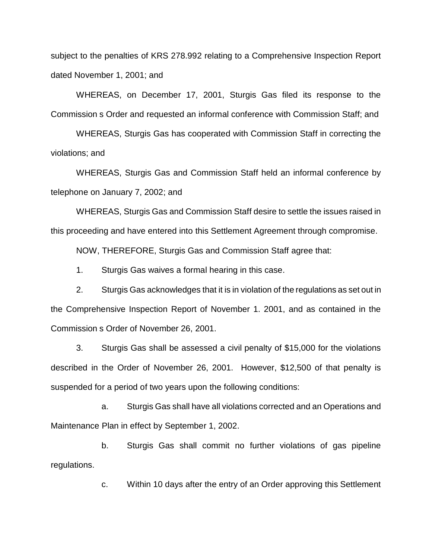subject to the penalties of KRS 278.992 relating to a Comprehensive Inspection Report dated November 1, 2001; and

WHEREAS, on December 17, 2001, Sturgis Gas filed its response to the Commission s Order and requested an informal conference with Commission Staff; and

WHEREAS, Sturgis Gas has cooperated with Commission Staff in correcting the violations; and

WHEREAS, Sturgis Gas and Commission Staff held an informal conference by telephone on January 7, 2002; and

WHEREAS, Sturgis Gas and Commission Staff desire to settle the issues raised in this proceeding and have entered into this Settlement Agreement through compromise.

NOW, THEREFORE, Sturgis Gas and Commission Staff agree that:

1. Sturgis Gas waives a formal hearing in this case.

2. Sturgis Gas acknowledges that it is in violation of the regulations as set out in the Comprehensive Inspection Report of November 1. 2001, and as contained in the Commission s Order of November 26, 2001.

3. Sturgis Gas shall be assessed a civil penalty of \$15,000 for the violations described in the Order of November 26, 2001. However, \$12,500 of that penalty is suspended for a period of two years upon the following conditions:

a. Sturgis Gas shall have all violations corrected and an Operations and Maintenance Plan in effect by September 1, 2002.

b. Sturgis Gas shall commit no further violations of gas pipeline regulations.

c. Within 10 days after the entry of an Order approving this Settlement